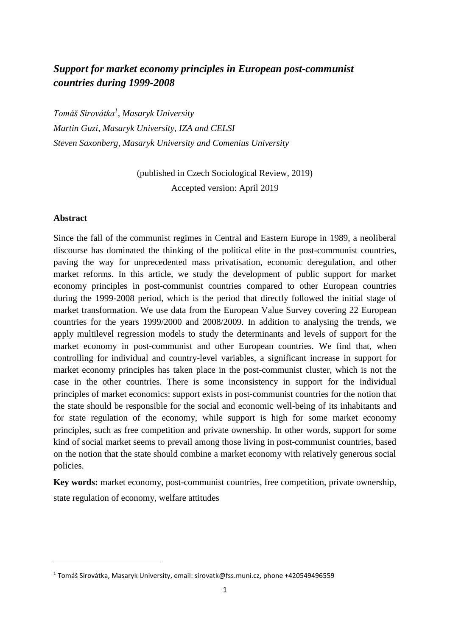# *Support for market economy principles in European post-communist countries during 1999-2008*

*Tomáš Sirovátka<sup>1</sup> , Masaryk University Martin Guzi, Masaryk University, IZA and CELSI Steven Saxonberg, Masaryk University and Comenius University* 

> (published in Czech Sociological Review, 2019) Accepted version: April 2019

## **Abstract**

**.** 

Since the fall of the communist regimes in Central and Eastern Europe in 1989, a neoliberal discourse has dominated the thinking of the political elite in the post-communist countries, paving the way for unprecedented mass privatisation, economic deregulation, and other market reforms. In this article, we study the development of public support for market economy principles in post-communist countries compared to other European countries during the 1999-2008 period, which is the period that directly followed the initial stage of market transformation. We use data from the European Value Survey covering 22 European countries for the years 1999/2000 and 2008/2009. In addition to analysing the trends, we apply multilevel regression models to study the determinants and levels of support for the market economy in post-communist and other European countries. We find that, when controlling for individual and country-level variables, a significant increase in support for market economy principles has taken place in the post-communist cluster, which is not the case in the other countries. There is some inconsistency in support for the individual principles of market economics: support exists in post-communist countries for the notion that the state should be responsible for the social and economic well-being of its inhabitants and for state regulation of the economy, while support is high for some market economy principles, such as free competition and private ownership. In other words, support for some kind of social market seems to prevail among those living in post-communist countries, based on the notion that the state should combine a market economy with relatively generous social policies.

**Key words:** market economy, post-communist countries, free competition, private ownership, state regulation of economy, welfare attitudes

<sup>1</sup> Tomáš Sirovátka, Masaryk University, email: sirovatk@fss.muni.cz, phone +420549496559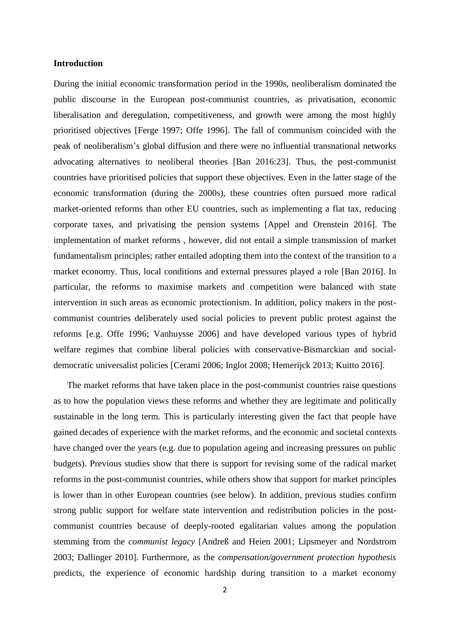#### **Introduction**

During the initial economic transformation period in the 1990s, neoliberalism dominated the public discourse in the European post-communist countries, as privatisation, economic liberalisation and deregulation, competitiveness, and growth were among the most highly prioritised objectives [Ferge 1997; Offe 1996]. The fall of communism coincided with the peak of neoliberalism's global diffusion and there were no influential transnational networks advocating alternatives to neoliberal theories [Ban 2016:23]. Thus, the post-communist countries have prioritised policies that support these objectives. Even in the latter stage of the economic transformation (during the 2000s), these countries often pursued more radical market-oriented reforms than other EU countries, such as implementing a flat tax, reducing corporate taxes, and privatising the pension systems [Appel and Orenstein 2016]. The implementation of market reforms , however, did not entail a simple transmission of market fundamentalism principles; rather entailed adopting them into the context of the transition to a market economy. Thus, local conditions and external pressures played a role [Ban 2016]. In particular, the reforms to maximise markets and competition were balanced with state intervention in such areas as economic protectionism. In addition, policy makers in the postcommunist countries deliberately used social policies to prevent public protest against the reforms [e.g. Offe 1996; Vanhuysse 2006] and have developed various types of hybrid welfare regimes that combine liberal policies with conservative-Bismarckian and socialdemocratic universalist policies [Cerami 2006; Inglot 2008; Hemerijck 2013; Kuitto 2016].

The market reforms that have taken place in the post-communist countries raise questions as to how the population views these reforms and whether they are legitimate and politically sustainable in the long term. This is particularly interesting given the fact that people have gained decades of experience with the market reforms, and the economic and societal contexts have changed over the years (e.g. due to population ageing and increasing pressures on public budgets). Previous studies show that there is support for revising some of the radical market reforms in the post-communist countries, while others show that support for market principles is lower than in other European countries (see below). In addition, previous studies confirm strong public support for welfare state intervention and redistribution policies in the postcommunist countries because of deeply-rooted egalitarian values among the population stemming from the *communist legacy* [Andreß and Heien 2001; Lipsmeyer and Nordstrom 2003; Dallinger 2010]. Furthermore, as the *compensation/government protection hypothesis* predicts, the experience of economic hardship during transition to a market economy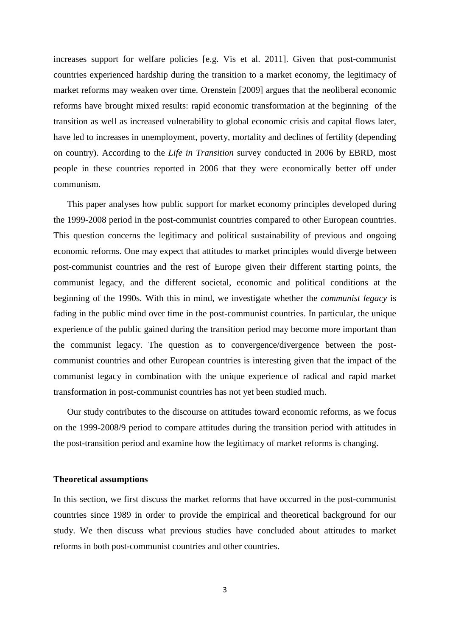increases support for welfare policies [e.g. Vis et al. 2011]. Given that post-communist countries experienced hardship during the transition to a market economy, the legitimacy of market reforms may weaken over time. Orenstein [2009] argues that the neoliberal economic reforms have brought mixed results: rapid economic transformation at the beginning of the transition as well as increased vulnerability to global economic crisis and capital flows later, have led to increases in unemployment, poverty, mortality and declines of fertility (depending on country). According to the *Life in Transition* survey conducted in 2006 by EBRD, most people in these countries reported in 2006 that they were economically better off under communism.

This paper analyses how public support for market economy principles developed during the 1999-2008 period in the post-communist countries compared to other European countries. This question concerns the legitimacy and political sustainability of previous and ongoing economic reforms. One may expect that attitudes to market principles would diverge between post-communist countries and the rest of Europe given their different starting points, the communist legacy, and the different societal, economic and political conditions at the beginning of the 1990s. With this in mind, we investigate whether the *communist legacy* is fading in the public mind over time in the post-communist countries. In particular, the unique experience of the public gained during the transition period may become more important than the communist legacy. The question as to convergence/divergence between the postcommunist countries and other European countries is interesting given that the impact of the communist legacy in combination with the unique experience of radical and rapid market transformation in post-communist countries has not yet been studied much.

Our study contributes to the discourse on attitudes toward economic reforms, as we focus on the 1999-2008/9 period to compare attitudes during the transition period with attitudes in the post-transition period and examine how the legitimacy of market reforms is changing.

#### **Theoretical assumptions**

In this section, we first discuss the market reforms that have occurred in the post-communist countries since 1989 in order to provide the empirical and theoretical background for our study. We then discuss what previous studies have concluded about attitudes to market reforms in both post-communist countries and other countries.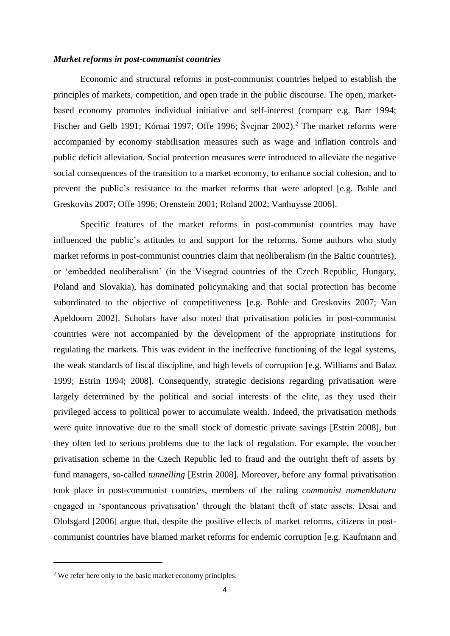# *Market reforms in post-communist countries*

Economic and structural reforms in post-communist countries helped to establish the principles of markets, competition, and open trade in the public discourse. The open, marketbased economy promotes individual initiative and self-interest (compare e.g. Barr 1994; Fischer and Gelb 1991; Kórnai 1997; Offe 1996; Švejnar 2002).<sup>2</sup> The market reforms were accompanied by economy stabilisation measures such as wage and inflation controls and public deficit alleviation. Social protection measures were introduced to alleviate the negative social consequences of the transition to a market economy, to enhance social cohesion, and to prevent the public's resistance to the market reforms that were adopted [e.g. Bohle and Greskovits 2007; Offe 1996; Orenstein 2001; Roland 2002; Vanhuysse 2006].

Specific features of the market reforms in post-communist countries may have influenced the public's attitudes to and support for the reforms. Some authors who study market reforms in post-communist countries claim that neoliberalism (in the Baltic countries), or 'embedded neoliberalism' (in the Visegrad countries of the Czech Republic, Hungary, Poland and Slovakia), has dominated policymaking and that social protection has become subordinated to the objective of competitiveness [e.g. Bohle and Greskovits 2007; Van Apeldoorn 2002]. Scholars have also noted that privatisation policies in post-communist countries were not accompanied by the development of the appropriate institutions for regulating the markets. This was evident in the ineffective functioning of the legal systems, the weak standards of fiscal discipline, and high levels of corruption [e.g. Williams and Balaz 1999; Estrin 1994; 2008]. Consequently, strategic decisions regarding privatisation were largely determined by the political and social interests of the elite, as they used their privileged access to political power to accumulate wealth. Indeed, the privatisation methods were quite innovative due to the small stock of domestic private savings [Estrin 2008], but they often led to serious problems due to the lack of regulation. For example, the voucher privatisation scheme in the Czech Republic led to fraud and the outright theft of assets by fund managers, so-called *tunnelling* [Estrin 2008]. Moreover, before any formal privatisation took place in post-communist countries, members of the ruling *communist nomenklatura* engaged in 'spontaneous privatisation' through the blatant theft of state assets. Desai and Olofsgard [2006] argue that, despite the positive effects of market reforms, citizens in postcommunist countries have blamed market reforms for endemic corruption [e.g. Kaufmann and

**.** 

<sup>&</sup>lt;sup>2</sup> We refer here only to the basic market economy principles.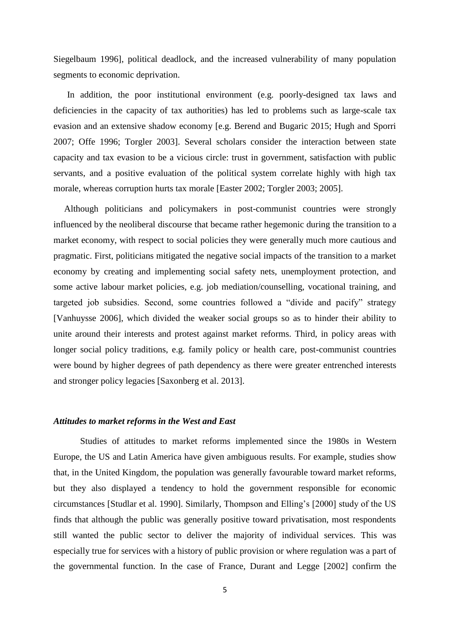Siegelbaum 1996], political deadlock, and the increased vulnerability of many population segments to economic deprivation.

In addition, the poor institutional environment (e.g. poorly-designed tax laws and deficiencies in the capacity of tax authorities) has led to problems such as large-scale tax evasion and an extensive shadow economy [e.g. Berend and Bugaric 2015; Hugh and Sporri 2007; Offe 1996; Torgler 2003]. Several scholars consider the interaction between state capacity and tax evasion to be a vicious circle: trust in government, satisfaction with public servants, and a positive evaluation of the political system correlate highly with high tax morale, whereas corruption hurts tax morale [Easter 2002; Torgler 2003; 2005].

Although politicians and policymakers in post-communist countries were strongly influenced by the neoliberal discourse that became rather hegemonic during the transition to a market economy, with respect to social policies they were generally much more cautious and pragmatic. First, politicians mitigated the negative social impacts of the transition to a market economy by creating and implementing social safety nets, unemployment protection, and some active labour market policies, e.g. job mediation/counselling, vocational training, and targeted job subsidies. Second, some countries followed a "divide and pacify" strategy [Vanhuysse 2006], which divided the weaker social groups so as to hinder their ability to unite around their interests and protest against market reforms. Third, in policy areas with longer social policy traditions, e.g. family policy or health care, post-communist countries were bound by higher degrees of path dependency as there were greater entrenched interests and stronger policy legacies [Saxonberg et al. 2013].

#### *Attitudes to market reforms in the West and East*

Studies of attitudes to market reforms implemented since the 1980s in Western Europe, the US and Latin America have given ambiguous results. For example, studies show that, in the United Kingdom, the population was generally favourable toward market reforms, but they also displayed a tendency to hold the government responsible for economic circumstances [Studlar et al. 1990]. Similarly, Thompson and Elling's [2000] study of the US finds that although the public was generally positive toward privatisation, most respondents still wanted the public sector to deliver the majority of individual services. This was especially true for services with a history of public provision or where regulation was a part of the governmental function. In the case of France, Durant and Legge [2002] confirm the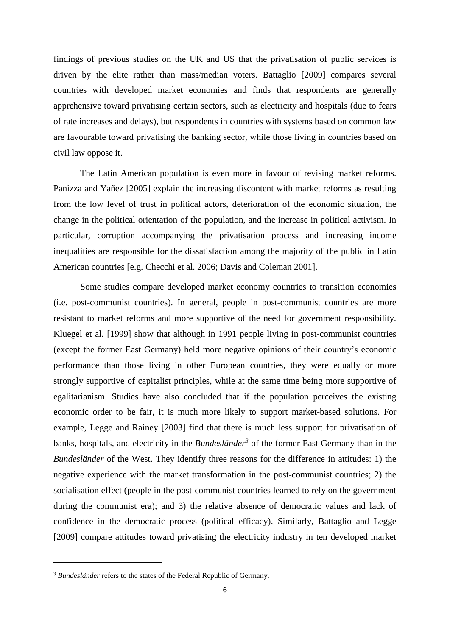findings of previous studies on the UK and US that the privatisation of public services is driven by the elite rather than mass/median voters. Battaglio [2009] compares several countries with developed market economies and finds that respondents are generally apprehensive toward privatising certain sectors, such as electricity and hospitals (due to fears of rate increases and delays), but respondents in countries with systems based on common law are favourable toward privatising the banking sector, while those living in countries based on civil law oppose it.

The Latin American population is even more in favour of revising market reforms. Panizza and Yañez [2005] explain the increasing discontent with market reforms as resulting from the low level of trust in political actors, deterioration of the economic situation, the change in the political orientation of the population, and the increase in political activism. In particular, corruption accompanying the privatisation process and increasing income inequalities are responsible for the dissatisfaction among the majority of the public in Latin American countries [e.g. Checchi et al. 2006; Davis and Coleman 2001].

Some studies compare developed market economy countries to transition economies (i.e. post-communist countries). In general, people in post-communist countries are more resistant to market reforms and more supportive of the need for government responsibility. Kluegel et al. [1999] show that although in 1991 people living in post-communist countries (except the former East Germany) held more negative opinions of their country's economic performance than those living in other European countries, they were equally or more strongly supportive of capitalist principles, while at the same time being more supportive of egalitarianism. Studies have also concluded that if the population perceives the existing economic order to be fair, it is much more likely to support market-based solutions. For example, Legge and Rainey [2003] find that there is much less support for privatisation of banks, hospitals, and electricity in the *Bundesländer<sup>3</sup>* of the former East Germany than in the *Bundesländer* of the West. They identify three reasons for the difference in attitudes: 1) the negative experience with the market transformation in the post-communist countries; 2) the socialisation effect (people in the post-communist countries learned to rely on the government during the communist era); and 3) the relative absence of democratic values and lack of confidence in the democratic process (political efficacy). Similarly, Battaglio and Legge [2009] compare attitudes toward privatising the electricity industry in ten developed market

**.** 

<sup>&</sup>lt;sup>3</sup> *Bundesländer* refers to the states of the Federal Republic of Germany.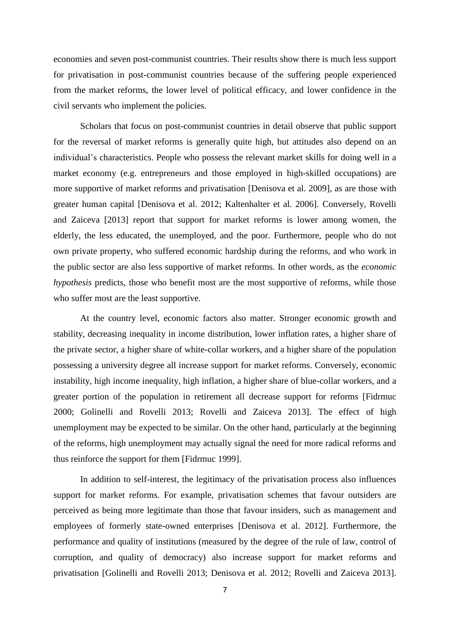economies and seven post-communist countries. Their results show there is much less support for privatisation in post-communist countries because of the suffering people experienced from the market reforms, the lower level of political efficacy, and lower confidence in the civil servants who implement the policies.

Scholars that focus on post-communist countries in detail observe that public support for the reversal of market reforms is generally quite high, but attitudes also depend on an individual's characteristics. People who possess the relevant market skills for doing well in a market economy (e.g. entrepreneurs and those employed in high-skilled occupations) are more supportive of market reforms and privatisation [Denisova et al. 2009], as are those with greater human capital [Denisova et al. 2012; Kaltenhalter et al. 2006]. Conversely, Rovelli and Zaiceva [2013] report that support for market reforms is lower among women, the elderly, the less educated, the unemployed, and the poor. Furthermore, people who do not own private property, who suffered economic hardship during the reforms, and who work in the public sector are also less supportive of market reforms. In other words, as the *economic hypothesis* predicts, those who benefit most are the most supportive of reforms, while those who suffer most are the least supportive.

At the country level, economic factors also matter. Stronger economic growth and stability, decreasing inequality in income distribution, lower inflation rates, a higher share of the private sector, a higher share of white-collar workers, and a higher share of the population possessing a university degree all increase support for market reforms. Conversely, economic instability, high income inequality, high inflation, a higher share of blue-collar workers, and a greater portion of the population in retirement all decrease support for reforms [Fidrmuc 2000; Golinelli and Rovelli 2013; Rovelli and Zaiceva 2013]. The effect of high unemployment may be expected to be similar. On the other hand, particularly at the beginning of the reforms, high unemployment may actually signal the need for more radical reforms and thus reinforce the support for them [Fidrmuc 1999].

In addition to self-interest, the legitimacy of the privatisation process also influences support for market reforms. For example, privatisation schemes that favour outsiders are perceived as being more legitimate than those that favour insiders, such as management and employees of formerly state-owned enterprises [Denisova et al. 2012]. Furthermore, the performance and quality of institutions (measured by the degree of the rule of law, control of corruption, and quality of democracy) also increase support for market reforms and privatisation [Golinelli and Rovelli 2013; Denisova et al. 2012; Rovelli and Zaiceva 2013].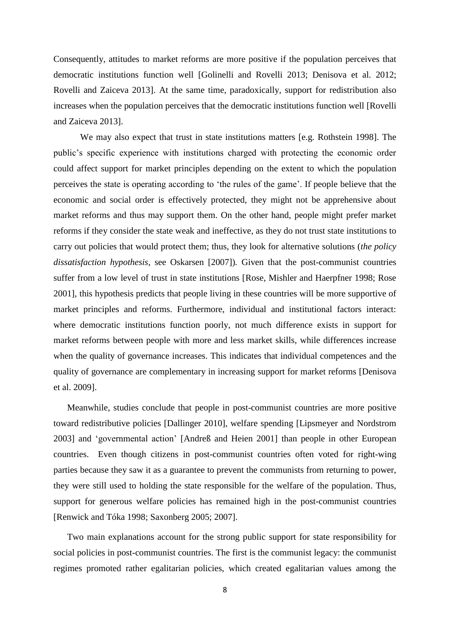Consequently, attitudes to market reforms are more positive if the population perceives that democratic institutions function well [Golinelli and Rovelli 2013; Denisova et al. 2012; Rovelli and Zaiceva 2013]. At the same time, paradoxically, support for redistribution also increases when the population perceives that the democratic institutions function well [Rovelli and Zaiceva 2013].

We may also expect that trust in state institutions matters [e.g. Rothstein 1998]. The public's specific experience with institutions charged with protecting the economic order could affect support for market principles depending on the extent to which the population perceives the state is operating according to 'the rules of the game'. If people believe that the economic and social order is effectively protected, they might not be apprehensive about market reforms and thus may support them. On the other hand, people might prefer market reforms if they consider the state weak and ineffective, as they do not trust state institutions to carry out policies that would protect them; thus, they look for alternative solutions (*the policy dissatisfaction hypothesis,* see Oskarsen [2007])*.* Given that the post-communist countries suffer from a low level of trust in state institutions [Rose, Mishler and Haerpfner 1998; Rose 2001], this hypothesis predicts that people living in these countries will be more supportive of market principles and reforms. Furthermore, individual and institutional factors interact: where democratic institutions function poorly, not much difference exists in support for market reforms between people with more and less market skills, while differences increase when the quality of governance increases. This indicates that individual competences and the quality of governance are complementary in increasing support for market reforms [Denisova et al. 2009].

Meanwhile, studies conclude that people in post-communist countries are more positive toward redistributive policies [Dallinger 2010], welfare spending [Lipsmeyer and Nordstrom 2003] and 'governmental action' [Andreß and Heien 2001] than people in other European countries. Even though citizens in post-communist countries often voted for right-wing parties because they saw it as a guarantee to prevent the communists from returning to power, they were still used to holding the state responsible for the welfare of the population. Thus, support for generous welfare policies has remained high in the post-communist countries [Renwick and Tóka 1998; Saxonberg 2005; 2007].

Two main explanations account for the strong public support for state responsibility for social policies in post-communist countries. The first is the communist legacy: the communist regimes promoted rather egalitarian policies, which created egalitarian values among the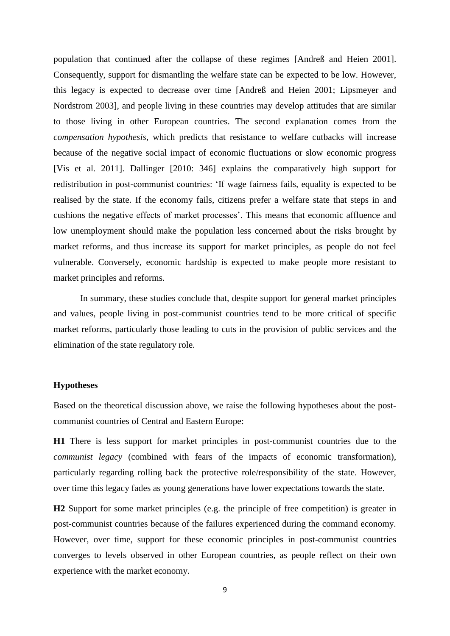population that continued after the collapse of these regimes [Andreß and Heien 2001]. Consequently, support for dismantling the welfare state can be expected to be low. However, this legacy is expected to decrease over time [Andreß and Heien 2001; Lipsmeyer and Nordstrom 2003], and people living in these countries may develop attitudes that are similar to those living in other European countries. The second explanation comes from the *compensation hypothesis*, which predicts that resistance to welfare cutbacks will increase because of the negative social impact of economic fluctuations or slow economic progress [Vis et al. 2011]. Dallinger [2010: 346] explains the comparatively high support for redistribution in post-communist countries: 'If wage fairness fails, equality is expected to be realised by the state. If the economy fails, citizens prefer a welfare state that steps in and cushions the negative effects of market processes'. This means that economic affluence and low unemployment should make the population less concerned about the risks brought by market reforms, and thus increase its support for market principles, as people do not feel vulnerable. Conversely, economic hardship is expected to make people more resistant to market principles and reforms.

In summary, these studies conclude that, despite support for general market principles and values, people living in post-communist countries tend to be more critical of specific market reforms, particularly those leading to cuts in the provision of public services and the elimination of the state regulatory role.

#### **Hypotheses**

Based on the theoretical discussion above, we raise the following hypotheses about the postcommunist countries of Central and Eastern Europe:

**H1** There is less support for market principles in post-communist countries due to the *communist legacy* (combined with fears of the impacts of economic transformation), particularly regarding rolling back the protective role/responsibility of the state. However, over time this legacy fades as young generations have lower expectations towards the state.

**H2** Support for some market principles (e.g. the principle of free competition) is greater in post-communist countries because of the failures experienced during the command economy. However, over time, support for these economic principles in post-communist countries converges to levels observed in other European countries, as people reflect on their own experience with the market economy.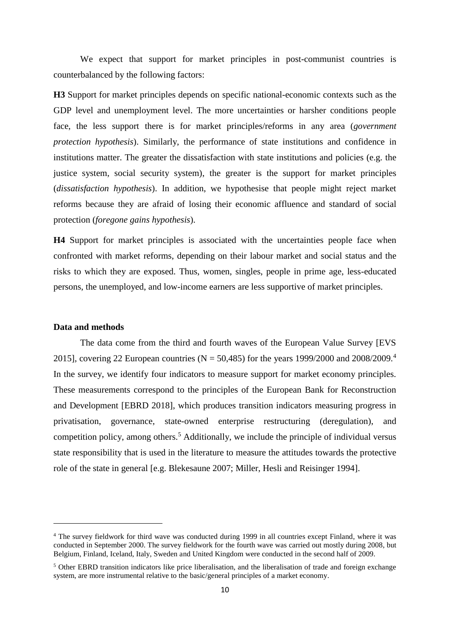We expect that support for market principles in post-communist countries is counterbalanced by the following factors:

**H3** Support for market principles depends on specific national-economic contexts such as the GDP level and unemployment level. The more uncertainties or harsher conditions people face, the less support there is for market principles/reforms in any area (*government protection hypothesis*). Similarly, the performance of state institutions and confidence in institutions matter. The greater the dissatisfaction with state institutions and policies (e.g. the justice system, social security system), the greater is the support for market principles (*dissatisfaction hypothesis*). In addition, we hypothesise that people might reject market reforms because they are afraid of losing their economic affluence and standard of social protection (*foregone gains hypothesis*).

**H4** Support for market principles is associated with the uncertainties people face when confronted with market reforms, depending on their labour market and social status and the risks to which they are exposed. Thus, women, singles, people in prime age, less-educated persons, the unemployed, and low-income earners are less supportive of market principles.

# **Data and methods**

1

The data come from the third and fourth waves of the European Value Survey [EVS 2015], covering 22 European countries (N = 50,485) for the years 1999/2000 and 2008/2009.<sup>4</sup> In the survey, we identify four indicators to measure support for market economy principles. These measurements correspond to the principles of the European Bank for Reconstruction and Development [EBRD 2018], which produces transition indicators measuring progress in privatisation, governance, state-owned enterprise restructuring (deregulation), and competition policy, among others. <sup>5</sup> Additionally, we include the principle of individual versus state responsibility that is used in the literature to measure the attitudes towards the protective role of the state in general [e.g. Blekesaune 2007; Miller, Hesli and Reisinger 1994].

<sup>4</sup> The survey fieldwork for third wave was conducted during 1999 in all countries except Finland, where it was conducted in September 2000. The survey fieldwork for the fourth wave was carried out mostly during 2008, but Belgium, Finland, Iceland, Italy, Sweden and United Kingdom were conducted in the second half of 2009.

<sup>5</sup> Other EBRD transition indicators like price liberalisation, and the liberalisation of trade and foreign exchange system, are more instrumental relative to the basic/general principles of a market economy.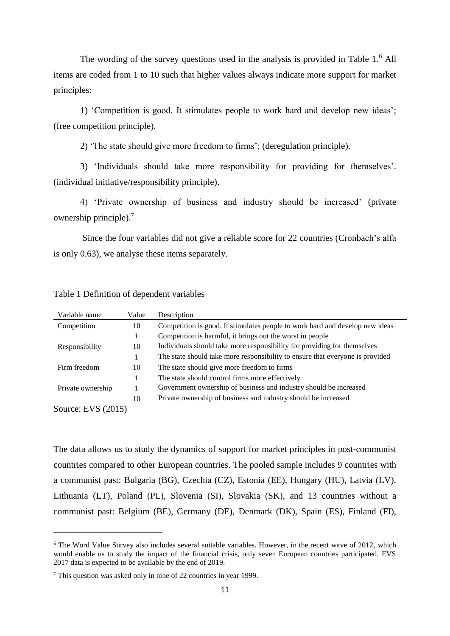The wording of the survey questions used in the analysis is provided in Table 1.<sup>6</sup> All items are coded from 1 to 10 such that higher values always indicate more support for market principles:

1) 'Competition is good. It stimulates people to work hard and develop new ideas'; (free competition principle).

2) 'The state should give more freedom to firms'; (deregulation principle).

3) 'Individuals should take more responsibility for providing for themselves'. (individual initiative/responsibility principle).

4) 'Private ownership of business and industry should be increased' (private ownership principle). 7

Since the four variables did not give a reliable score for 22 countries (Cronbach's alfa is only 0.63), we analyse these items separately.

| Variable name     | Value | Description                                                                   |
|-------------------|-------|-------------------------------------------------------------------------------|
| Competition       | 10    | Competition is good. It stimulates people to work hard and develop new ideas  |
|                   |       | Competition is harmful, it brings out the worst in people                     |
| Responsibility    | 10    | Individuals should take more responsibility for providing for themselves      |
|                   |       | The state should take more responsibility to ensure that everyone is provided |
| Firm freedom      | 10    | The state should give more freedom to firms                                   |
|                   |       | The state should control firms more effectively                               |
| Private ownership |       | Government ownership of business and industry should be increased             |
|                   | 10    | Private ownership of business and industry should be increased                |

Table 1 Definition of dependent variables

Source: EVS (2015)

**.** 

The data allows us to study the dynamics of support for market principles in post-communist countries compared to other European countries. The pooled sample includes 9 countries with a communist past: Bulgaria (BG), Czechia (CZ), Estonia (EE), Hungary (HU), Latvia (LV), Lithuania (LT), Poland (PL), Slovenia (SI), Slovakia (SK), and 13 countries without a communist past: Belgium (BE), Germany (DE), Denmark (DK), Spain (ES), Finland (FI),

<sup>6</sup> The Word Value Survey also includes several suitable variables. However, in the recent wave of 2012, which would enable us to study the impact of the financial crisis, only seven European countries participated. EVS 2017 data is expected to be available by the end of 2019.

<sup>7</sup> This question was asked only in nine of 22 countries in year 1999.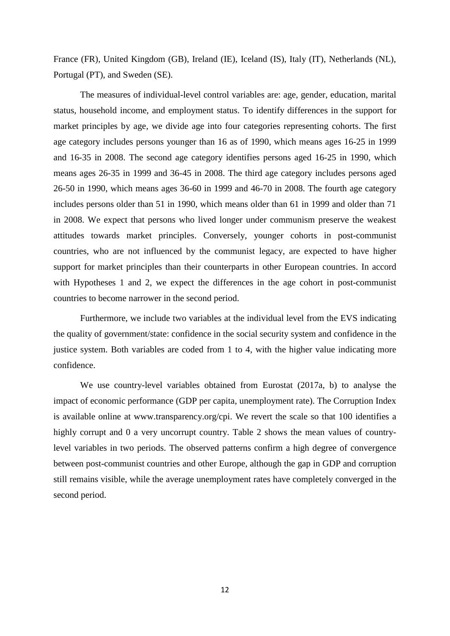France (FR), United Kingdom (GB), Ireland (IE), Iceland (IS), Italy (IT), Netherlands (NL), Portugal (PT), and Sweden (SE).

The measures of individual-level control variables are: age, gender, education, marital status, household income, and employment status. To identify differences in the support for market principles by age, we divide age into four categories representing cohorts. The first age category includes persons younger than 16 as of 1990, which means ages 16-25 in 1999 and 16-35 in 2008. The second age category identifies persons aged 16-25 in 1990, which means ages 26-35 in 1999 and 36-45 in 2008. The third age category includes persons aged 26-50 in 1990, which means ages 36-60 in 1999 and 46-70 in 2008. The fourth age category includes persons older than 51 in 1990, which means older than 61 in 1999 and older than 71 in 2008. We expect that persons who lived longer under communism preserve the weakest attitudes towards market principles. Conversely, younger cohorts in post-communist countries, who are not influenced by the communist legacy, are expected to have higher support for market principles than their counterparts in other European countries. In accord with Hypotheses 1 and 2, we expect the differences in the age cohort in post-communist countries to become narrower in the second period.

Furthermore, we include two variables at the individual level from the EVS indicating the quality of government/state: confidence in the social security system and confidence in the justice system. Both variables are coded from 1 to 4, with the higher value indicating more confidence.

We use country-level variables obtained from Eurostat (2017a, b) to analyse the impact of economic performance (GDP per capita, unemployment rate). The Corruption Index is available online at [www.transparency.org/cpi.](http://www.transparency.org/cpi) We revert the scale so that 100 identifies a highly corrupt and 0 a very uncorrupt country. Table 2 shows the mean values of countrylevel variables in two periods. The observed patterns confirm a high degree of convergence between post-communist countries and other Europe, although the gap in GDP and corruption still remains visible, while the average unemployment rates have completely converged in the second period.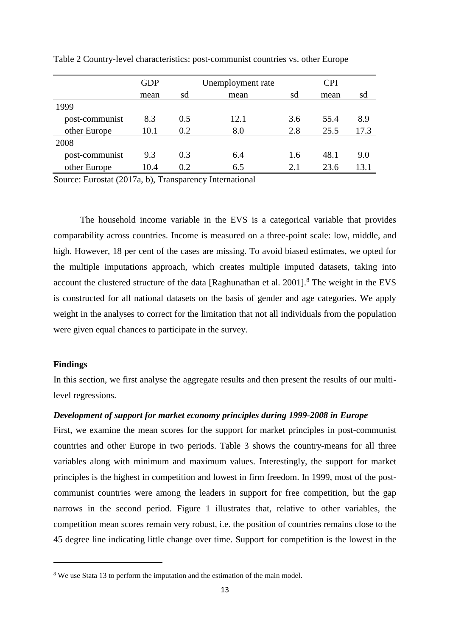|                | <b>GDP</b> |     | Unemployment rate | <b>CPI</b> |      |      |  |  |
|----------------|------------|-----|-------------------|------------|------|------|--|--|
|                | mean       | sd  | mean              | sd         | mean | sd   |  |  |
| 1999           |            |     |                   |            |      |      |  |  |
| post-communist | 8.3        | 0.5 | 12.1              | 3.6        | 55.4 | 8.9  |  |  |
| other Europe   | 10.1       | 0.2 | 8.0               | 2.8        | 25.5 | 17.3 |  |  |
| 2008           |            |     |                   |            |      |      |  |  |
| post-communist | 9.3        | 0.3 | 6.4               | 1.6        | 48.1 | 9.0  |  |  |
| other Europe   | 10.4       | 0.2 | 6.5               | 2.1        | 23.6 | 13.1 |  |  |

Table 2 Country-level characteristics: post-communist countries vs. other Europe

Source: Eurostat (2017a, b), Transparency International

The household income variable in the EVS is a categorical variable that provides comparability across countries. Income is measured on a three-point scale: low, middle, and high. However, 18 per cent of the cases are missing. To avoid biased estimates, we opted for the multiple imputations approach, which creates multiple imputed datasets, taking into account the clustered structure of the data [Raghunathan et al. 2001].<sup>8</sup> The weight in the EVS is constructed for all national datasets on the basis of gender and age categories. We apply weight in the analyses to correct for the limitation that not all individuals from the population were given equal chances to participate in the survey.

#### **Findings**

**.** 

In this section, we first analyse the aggregate results and then present the results of our multilevel regressions.

#### *Development of support for market economy principles during 1999-2008 in Europe*

First, we examine the mean scores for the support for market principles in post-communist countries and other Europe in two periods. Table 3 shows the country-means for all three variables along with minimum and maximum values. Interestingly, the support for market principles is the highest in competition and lowest in firm freedom. In 1999, most of the postcommunist countries were among the leaders in support for free competition, but the gap narrows in the second period. Figure 1 illustrates that, relative to other variables, the competition mean scores remain very robust, i.e. the position of countries remains close to the 45 degree line indicating little change over time. Support for competition is the lowest in the

<sup>&</sup>lt;sup>8</sup> We use Stata 13 to perform the imputation and the estimation of the main model.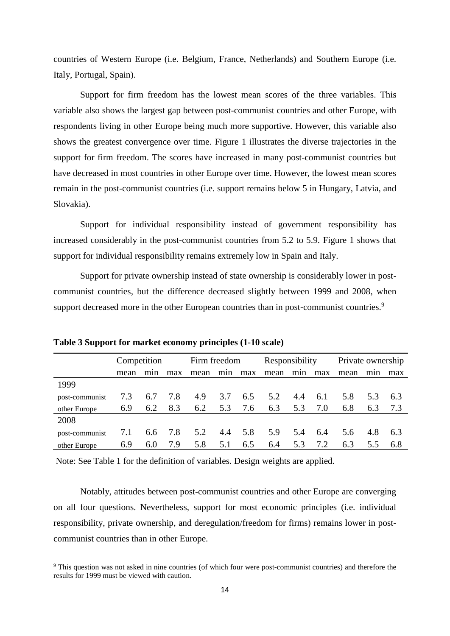countries of Western Europe (i.e. Belgium, France, Netherlands) and Southern Europe (i.e. Italy, Portugal, Spain).

Support for firm freedom has the lowest mean scores of the three variables. This variable also shows the largest gap between post-communist countries and other Europe, with respondents living in other Europe being much more supportive. However, this variable also shows the greatest convergence over time. Figure 1 illustrates the diverse trajectories in the support for firm freedom. The scores have increased in many post-communist countries but have decreased in most countries in other Europe over time. However, the lowest mean scores remain in the post-communist countries (i.e. support remains below 5 in Hungary, Latvia, and Slovakia).

Support for individual responsibility instead of government responsibility has increased considerably in the post-communist countries from 5.2 to 5.9. Figure 1 shows that support for individual responsibility remains extremely low in Spain and Italy.

Support for private ownership instead of state ownership is considerably lower in postcommunist countries, but the difference decreased slightly between 1999 and 2008, when support decreased more in the other European countries than in post-communist countries.<sup>9</sup>

|                | Competition |     |     | Firm freedom |     |     | Responsibility |     |     | Private ownership |     |     |  |
|----------------|-------------|-----|-----|--------------|-----|-----|----------------|-----|-----|-------------------|-----|-----|--|
|                | mean        | mnn | max | mean         | min | max | mean           | min | max | mean              | min | max |  |
| 1999           |             |     |     |              |     |     |                |     |     |                   |     |     |  |
| post-communist | 7.3         | 6.7 | 7.8 | 4.9          | 3.7 | 6.5 | 5.2            | 4.4 | 6.1 | 5.8               | 5.3 | 6.3 |  |
| other Europe   | 6.9         | 6.2 | 8.3 | 6.2          | 5.3 | 7.6 | 6.3            | 5.3 | 7.0 | 6.8               | 6.3 | 7.3 |  |
| 2008           |             |     |     |              |     |     |                |     |     |                   |     |     |  |
| post-communist | 7.1         | 6.6 | 7.8 | 5.2          | 4.4 | 5.8 | 5.9            | 5.4 | 6.4 | 5.6               | 4.8 | 6.3 |  |
| other Europe   | 6.9         | 6.0 | 7.9 | 5.8          | 5.1 | 6.5 | 6.4            | 5.3 | 7.2 | 6.3               | 5.5 | 6.8 |  |

**Table 3 Support for market economy principles (1-10 scale)**

1

Note: See Table 1 for the definition of variables. Design weights are applied.

Notably, attitudes between post-communist countries and other Europe are converging on all four questions. Nevertheless, support for most economic principles (i.e. individual responsibility, private ownership, and deregulation/freedom for firms) remains lower in postcommunist countries than in other Europe.

<sup>9</sup> This question was not asked in nine countries (of which four were post-communist countries) and therefore the results for 1999 must be viewed with caution.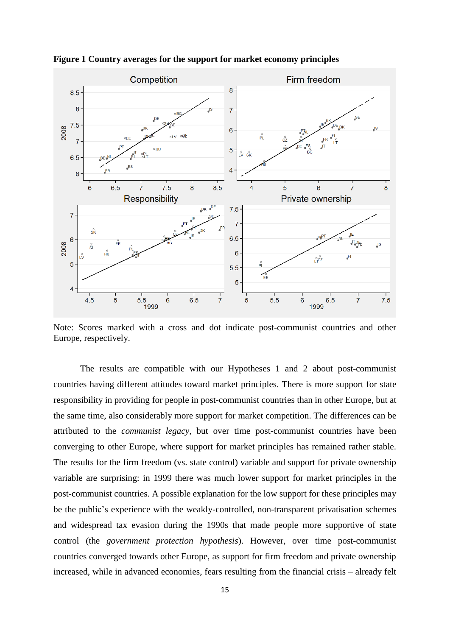

**Figure 1 Country averages for the support for market economy principles**

Note: Scores marked with a cross and dot indicate post-communist countries and other Europe, respectively.

The results are compatible with our Hypotheses 1 and 2 about post-communist countries having different attitudes toward market principles. There is more support for state responsibility in providing for people in post-communist countries than in other Europe, but at the same time, also considerably more support for market competition. The differences can be attributed to the *communist legacy,* but over time post-communist countries have been converging to other Europe, where support for market principles has remained rather stable. The results for the firm freedom (vs. state control) variable and support for private ownership variable are surprising: in 1999 there was much lower support for market principles in the post-communist countries. A possible explanation for the low support for these principles may be the public's experience with the weakly-controlled, non-transparent privatisation schemes and widespread tax evasion during the 1990s that made people more supportive of state control (the *government protection hypothesis*). However, over time post-communist countries converged towards other Europe, as support for firm freedom and private ownership increased, while in advanced economies, fears resulting from the financial crisis – already felt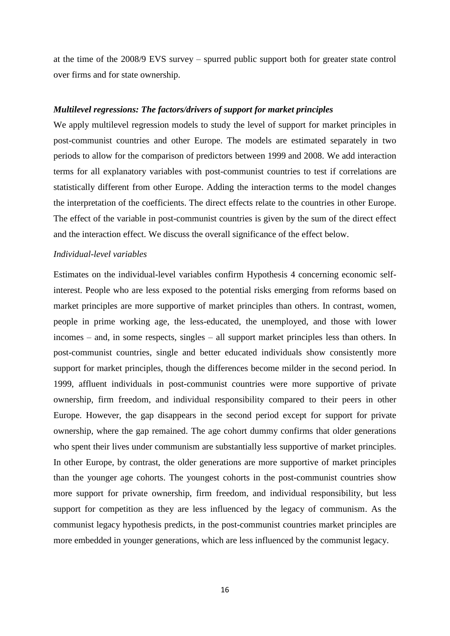at the time of the 2008/9 EVS survey – spurred public support both for greater state control over firms and for state ownership.

#### *Multilevel regressions: The factors/drivers of support for market principles*

We apply multilevel regression models to study the level of support for market principles in post-communist countries and other Europe. The models are estimated separately in two periods to allow for the comparison of predictors between 1999 and 2008. We add interaction terms for all explanatory variables with post-communist countries to test if correlations are statistically different from other Europe. Adding the interaction terms to the model changes the interpretation of the coefficients. The direct effects relate to the countries in other Europe. The effect of the variable in post-communist countries is given by the sum of the direct effect and the interaction effect. We discuss the overall significance of the effect below.

#### *Individual-level variables*

Estimates on the individual-level variables confirm Hypothesis 4 concerning economic selfinterest. People who are less exposed to the potential risks emerging from reforms based on market principles are more supportive of market principles than others. In contrast, women, people in prime working age, the less-educated, the unemployed, and those with lower incomes – and, in some respects, singles – all support market principles less than others. In post-communist countries, single and better educated individuals show consistently more support for market principles, though the differences become milder in the second period. In 1999, affluent individuals in post-communist countries were more supportive of private ownership, firm freedom, and individual responsibility compared to their peers in other Europe. However, the gap disappears in the second period except for support for private ownership, where the gap remained. The age cohort dummy confirms that older generations who spent their lives under communism are substantially less supportive of market principles. In other Europe, by contrast, the older generations are more supportive of market principles than the younger age cohorts. The youngest cohorts in the post-communist countries show more support for private ownership, firm freedom, and individual responsibility, but less support for competition as they are less influenced by the legacy of communism. As the communist legacy hypothesis predicts, in the post-communist countries market principles are more embedded in younger generations, which are less influenced by the communist legacy.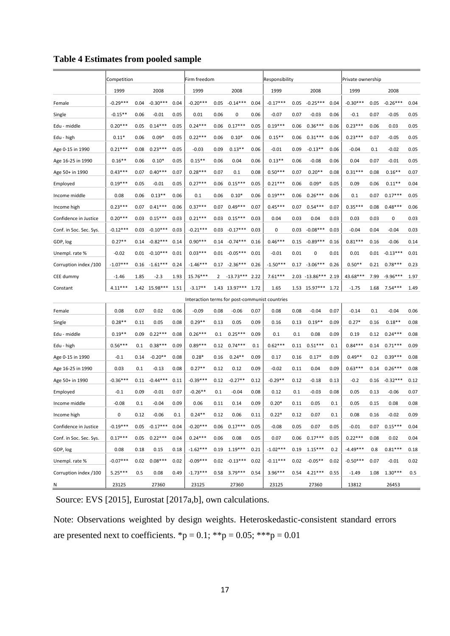|                         | Competition |      |                  | Firm freedom |                                                |      |                    | Responsibility |            |      |                   | Private ownership |            |      |            |      |
|-------------------------|-------------|------|------------------|--------------|------------------------------------------------|------|--------------------|----------------|------------|------|-------------------|-------------------|------------|------|------------|------|
|                         | 1999        |      | 2008             |              | 1999                                           |      | 2008               |                | 1999       |      | 2008              |                   | 1999       |      | 2008       |      |
| Female                  | $-0.29***$  | 0.04 | $-0.30***$       | 0.04         | $-0.20***$                                     | 0.05 | $-0.14***$         | 0.04           | $-0.17***$ | 0.05 | $-0.25***$        | 0.04              | $-0.30***$ | 0.05 | $-0.26***$ | 0.04 |
| Single                  | $-0.15**$   | 0.06 | $-0.01$          | 0.05         | 0.01                                           | 0.06 | 0                  | 0.06           | $-0.07$    | 0.07 | $-0.03$           | 0.06              | $-0.1$     | 0.07 | $-0.05$    | 0.05 |
| Edu - middle            | $0.20***$   | 0.05 | $0.14***$        | 0.05         | $0.24***$                                      | 0.06 | $0.17***$          | 0.05           | $0.19***$  | 0.06 | $0.36***$         | 0.06              | $0.23***$  | 0.06 | 0.03       | 0.05 |
| Edu - high              | $0.11*$     | 0.06 | $0.09*$          | 0.05         | $0.22***$                                      | 0.06 | $0.10*$            | 0.06           | $0.15**$   | 0.06 | $0.31***$         | 0.06              | $0.23***$  | 0.07 | $-0.05$    | 0.05 |
| Age 0-15 in 1990        | $0.21***$   | 0.08 | $0.23***$        | 0.05         | $-0.03$                                        | 0.09 | $0.13**$           | 0.06           | $-0.01$    | 0.09 | $-0.13**$         | 0.06              | $-0.04$    | 0.1  | $-0.02$    | 0.05 |
| Age 16-25 in 1990       | $0.16**$    | 0.06 | $0.10*$          | 0.05         | $0.15**$                                       | 0.06 | 0.04               | 0.06           | $0.13**$   | 0.06 | $-0.08$           | 0.06              | 0.04       | 0.07 | $-0.01$    | 0.05 |
| Age 50+ in 1990         | $0.43***$   | 0.07 | $0.40***$        | 0.07         | $0.28***$                                      | 0.07 | 0.1                | 0.08           | $0.50***$  | 0.07 | $0.20**$          | 0.08              | $0.31***$  | 0.08 | $0.16**$   | 0.07 |
| Employed                | $0.19***$   | 0.05 | $-0.01$          | 0.05         | $0.27***$                                      | 0.06 | $0.15***$          | 0.05           | $0.21***$  | 0.06 | $0.09*$           | 0.05              | 0.09       | 0.06 | $0.11**$   | 0.04 |
| Income middle           | 0.08        | 0.06 | $0.13**$         | 0.06         | 0.1                                            | 0.06 | $0.10*$            | 0.06           | $0.19***$  | 0.06 | $0.26***$         | 0.06              | 0.1        | 0.07 | $0.17***$  | 0.05 |
| Income high             | $0.23***$   | 0.07 | $0.41***$        | 0.06         | $0.37***$                                      | 0.07 | $0.49***$          | 0.07           | $0.45***$  | 0.07 | $0.54***$         | 0.07              | $0.35***$  | 0.08 | $0.48***$  | 0.06 |
| Confidence in Justice   | $0.20***$   | 0.03 | $0.15***$        | 0.03         | $0.21***$                                      | 0.03 | $0.15***$          | 0.03           | 0.04       | 0.03 | 0.04              | 0.03              | 0.03       | 0.03 | 0          | 0.03 |
| Conf. in Soc. Sec. Sys. | $-0.12***$  | 0.03 | $-0.10***$       | 0.03         | -0.21***                                       | 0.03 | $-0.17***$         | 0.03           | 0          | 0.03 | $-0.08***$        | 0.03              | $-0.04$    | 0.04 | $-0.04$    | 0.03 |
| GDP, log                | $0.27**$    | 0.14 | $-0.82***$       | 0.14         | $0.90***$                                      | 0.14 | $-0.74***$         | 0.16           | $0.46***$  | 0.15 | $-0.89***$        | 0.16              | $0.81***$  | 0.16 | $-0.06$    | 0.14 |
| Unempl. rate %          | $-0.02$     |      | $0.01 - 0.10***$ | 0.01         | $0.03***$                                      |      | $0.01 - 0.05***$   | 0.01           | $-0.01$    | 0.01 | 0                 | 0.01              | 0.01       | 0.01 | $-0.13***$ | 0.01 |
| Corruption index /100   | $-1.07***$  | 0.16 | $-1.61***$       | 0.24         | $-1.46***$                                     |      | $0.17 -2.36***$    | 0.26           | $-1.50***$ |      | $0.17 -3.06***$   | 0.26              | $0.50**$   | 0.21 | $0.78***$  | 0.23 |
| CEE dummy               | $-1.46$     | 1.85 | $-2.3$           | 1.93         | 15.76***                                       | 2    | $-13.73***$        | 2.22           | $7.61***$  |      | $2.03 - 13.86***$ | 2.19              | 43.68***   | 7.99 | $-9.96***$ | 1.97 |
| Constant                | $4.11***$   |      | 1.42 15.98***    | 1.51         | $-3.17**$                                      |      | 1.43 13.97*** 1.72 |                | 1.65       |      | 1.53 15.97***     | 1.72              | $-1.75$    | 1.68 | $7.54***$  | 1.49 |
|                         |             |      |                  |              | Interaction terms for post-communist countries |      |                    |                |            |      |                   |                   |            |      |            |      |
| Female                  | 0.08        | 0.07 | 0.02             | 0.06         | $-0.09$                                        | 0.08 | $-0.06$            | 0.07           | 0.08       | 0.08 | $-0.04$           | 0.07              | $-0.14$    | 0.1  | $-0.04$    | 0.06 |
| Single                  | $0.28**$    | 0.11 | 0.05             | 0.08         | $0.29**$                                       | 0.13 | 0.05               | 0.09           | 0.16       | 0.13 | $0.19**$          | 0.09              | $0.27*$    | 0.16 | $0.18**$   | 0.08 |
| Edu - middle            | $0.19**$    | 0.09 | $0.22***$        | 0.08         | $0.26***$                                      | 0.1  | $0.25***$          | 0.09           | 0.1        | 0.1  | 0.08              | 0.09              | 0.19       | 0.12 | $0.24***$  | 0.08 |
| Edu - high              | $0.56***$   | 0.1  | $0.38***$        | 0.09         | $0.89***$                                      | 0.12 | $0.74***$          | 0.1            | $0.62***$  | 0.11 | $0.51***$         | 0.1               | $0.84***$  | 0.14 | $0.71***$  | 0.09 |
| Age 0-15 in 1990        | $-0.1$      | 0.14 | $-0.20**$        | 0.08         | $0.28*$                                        | 0.16 | $0.24**$           | 0.09           | 0.17       | 0.16 | $0.17*$           | 0.09              | $0.49**$   | 0.2  | $0.39***$  | 0.08 |
| Age 16-25 in 1990       | 0.03        | 0.1  | $-0.13$          | 0.08         | $0.27**$                                       | 0.12 | 0.12               | 0.09           | $-0.02$    | 0.11 | 0.04              | 0.09              | $0.63***$  | 0.14 | $0.26***$  | 0.08 |
| Age 50+ in 1990         | $-0.36***$  | 0.11 | $-0.44***$       | 0.11         | $-0.39***$                                     | 0.12 | $-0.27**$          | 0.12           | $-0.29**$  | 0.12 | $-0.18$           | 0.13              | $-0.2$     | 0.16 | $-0.32***$ | 0.12 |
| Employed                | $-0.1$      | 0.09 | -0.01            | 0.07         | $-0.26**$                                      | 0.1  | $-0.04$            | 0.08           | 0.12       | 0.1  | $-0.03$           | 0.08              | 0.05       | 0.13 | $-0.06$    | 0.07 |
| Income middle           | $-0.08$     | 0.1  | $-0.04$          | 0.09         | 0.06                                           | 0.11 | 0.14               | 0.09           | $0.20*$    | 0.11 | 0.05              | 0.1               | 0.05       | 0.15 | 0.08       | 0.08 |
| Income high             | 0           | 0.12 | $-0.06$          | 0.1          | $0.24**$                                       | 0.12 | 0.06               | 0.11           | $0.22*$    | 0.12 | 0.07              | 0.1               | 0.08       | 0.16 | $-0.02$    | 0.09 |
| Confidence in Justice   | $-0.19***$  | 0.05 | $-0.17***$       | 0.04         | $-0.20***$                                     | 0.06 | $0.17***$          | 0.05           | $-0.08$    | 0.05 | 0.07              | 0.05              | $-0.01$    | 0.07 | $0.15***$  | 0.04 |
| Conf. in Soc. Sec. Sys. | $0.17***$   | 0.05 | $0.22***$        | 0.04         | $0.24***$                                      | 0.06 | 0.08               | 0.05           | 0.07       | 0.06 | $0.17***$         | 0.05              | $0.22***$  | 0.08 | 0.02       | 0.04 |
| GDP, log                | 0.08        | 0.18 | 0.15             | 0.18         | $-1.62***$                                     |      | $0.19$ $1.19***$   | 0.21           | $-1.02***$ | 0.19 | $1.15***$         | 0.2               | $-4.49***$ | 0.8  | $0.81***$  | 0.18 |
| Unempl. rate %          | $-0.07***$  | 0.02 | $0.08***$        | 0.02         | $-0.09***$                                     |      | $0.02 -0.13***$    | 0.02           | $-0.11***$ | 0.02 | $-0.05**$         | 0.02              | $-0.50***$ | 0.07 | $-0.01$    | 0.02 |
| Corruption index /100   | $5.25***$   | 0.5  | 0.08             | 0.49         | $-1.73***$                                     | 0.58 | $3.79***$          | 0.54           | $3.96***$  | 0.54 | $4.21***$         | 0.55              | $-1.49$    | 1.08 | $1.30***$  | 0.5  |
| N                       | 23125       |      | 27360            |              | 23125                                          |      | 27360              |                | 23125      |      | 27360             |                   | 13812      |      | 26453      |      |

# **Table 4 Estimates from pooled sample**

Source: EVS [2015], Eurostat [2017a,b], own calculations.

Note: Observations weighted by design weights. Heteroskedastic-consistent standard errors are presented next to coefficients. \*p = 0.1; \*\*p = 0.05; \*\*\*p = 0.01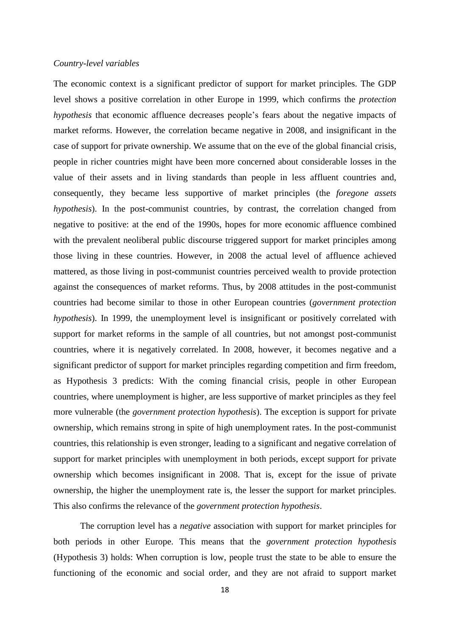#### *Country-level variables*

The economic context is a significant predictor of support for market principles. The GDP level shows a positive correlation in other Europe in 1999, which confirms the *protection hypothesis* that economic affluence decreases people's fears about the negative impacts of market reforms. However, the correlation became negative in 2008, and insignificant in the case of support for private ownership. We assume that on the eve of the global financial crisis, people in richer countries might have been more concerned about considerable losses in the value of their assets and in living standards than people in less affluent countries and, consequently, they became less supportive of market principles (the *foregone assets hypothesis*). In the post-communist countries, by contrast, the correlation changed from negative to positive: at the end of the 1990s, hopes for more economic affluence combined with the prevalent neoliberal public discourse triggered support for market principles among those living in these countries. However, in 2008 the actual level of affluence achieved mattered, as those living in post-communist countries perceived wealth to provide protection against the consequences of market reforms. Thus, by 2008 attitudes in the post-communist countries had become similar to those in other European countries (*government protection hypothesis*). In 1999, the unemployment level is insignificant or positively correlated with support for market reforms in the sample of all countries, but not amongst post-communist countries, where it is negatively correlated. In 2008, however, it becomes negative and a significant predictor of support for market principles regarding competition and firm freedom, as Hypothesis 3 predicts: With the coming financial crisis, people in other European countries, where unemployment is higher, are less supportive of market principles as they feel more vulnerable (the *government protection hypothesis*). The exception is support for private ownership, which remains strong in spite of high unemployment rates. In the post-communist countries, this relationship is even stronger, leading to a significant and negative correlation of support for market principles with unemployment in both periods, except support for private ownership which becomes insignificant in 2008. That is, except for the issue of private ownership, the higher the unemployment rate is, the lesser the support for market principles. This also confirms the relevance of the *government protection hypothesis*.

The corruption level has a *negative* association with support for market principles for both periods in other Europe. This means that the *government protection hypothesis* (Hypothesis 3) holds: When corruption is low, people trust the state to be able to ensure the functioning of the economic and social order, and they are not afraid to support market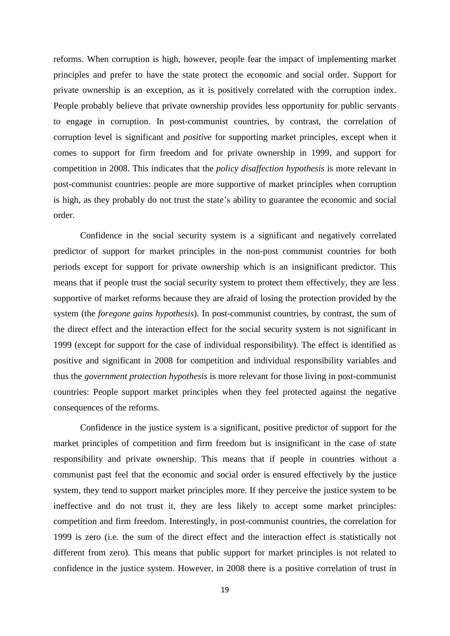reforms. When corruption is high, however, people fear the impact of implementing market principles and prefer to have the state protect the economic and social order. Support for private ownership is an exception, as it is positively correlated with the corruption index. People probably believe that private ownership provides less opportunity for public servants to engage in corruption. In post-communist countries, by contrast, the correlation of corruption level is significant and *positive* for supporting market principles, except when it comes to support for firm freedom and for private ownership in 1999, and support for competition in 2008. This indicates that the *policy disaffection hypothesis* is more relevant in post-communist countries: people are more supportive of market principles when corruption is high, as they probably do not trust the state's ability to guarantee the economic and social order.

Confidence in the social security system is a significant and negatively correlated predictor of support for market principles in the non-post communist countries for both periods except for support for private ownership which is an insignificant predictor. This means that if people trust the social security system to protect them effectively, they are less supportive of market reforms because they are afraid of losing the protection provided by the system (the *foregone gains hypothesis*). In post-communist countries, by contrast, the sum of the direct effect and the interaction effect for the social security system is not significant in 1999 (except for support for the case of individual responsibility). The effect is identified as positive and significant in 2008 for competition and individual responsibility variables and thus the *government protection hypothesis* is more relevant for those living in post-communist countries: People support market principles when they feel protected against the negative consequences of the reforms.

Confidence in the justice system is a significant, positive predictor of support for the market principles of competition and firm freedom but is insignificant in the case of state responsibility and private ownership. This means that if people in countries without a communist past feel that the economic and social order is ensured effectively by the justice system, they tend to support market principles more. If they perceive the justice system to be ineffective and do not trust it, they are less likely to accept some market principles: competition and firm freedom. Interestingly, in post-communist countries, the correlation for 1999 is zero (i.e. the sum of the direct effect and the interaction effect is statistically not different from zero). This means that public support for market principles is not related to confidence in the justice system. However, in 2008 there is a positive correlation of trust in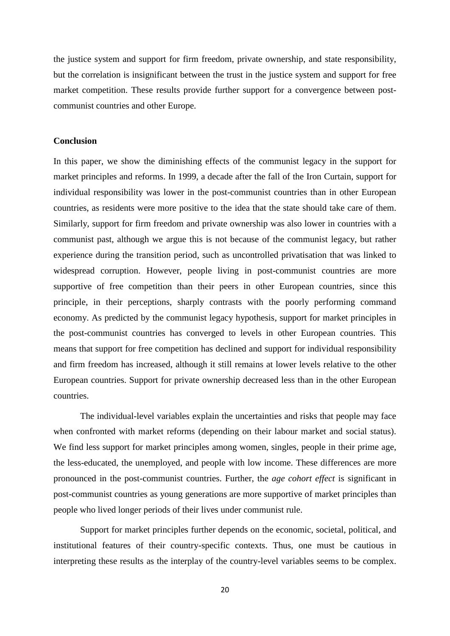the justice system and support for firm freedom, private ownership, and state responsibility, but the correlation is insignificant between the trust in the justice system and support for free market competition. These results provide further support for a convergence between postcommunist countries and other Europe.

#### **Conclusion**

In this paper, we show the diminishing effects of the communist legacy in the support for market principles and reforms. In 1999, a decade after the fall of the Iron Curtain, support for individual responsibility was lower in the post-communist countries than in other European countries, as residents were more positive to the idea that the state should take care of them. Similarly, support for firm freedom and private ownership was also lower in countries with a communist past, although we argue this is not because of the communist legacy, but rather experience during the transition period, such as uncontrolled privatisation that was linked to widespread corruption. However, people living in post-communist countries are more supportive of free competition than their peers in other European countries, since this principle, in their perceptions, sharply contrasts with the poorly performing command economy. As predicted by the communist legacy hypothesis, support for market principles in the post-communist countries has converged to levels in other European countries. This means that support for free competition has declined and support for individual responsibility and firm freedom has increased, although it still remains at lower levels relative to the other European countries. Support for private ownership decreased less than in the other European countries.

The individual-level variables explain the uncertainties and risks that people may face when confronted with market reforms (depending on their labour market and social status). We find less support for market principles among women, singles, people in their prime age, the less-educated, the unemployed, and people with low income. These differences are more pronounced in the post-communist countries. Further, the *age cohort effect* is significant in post-communist countries as young generations are more supportive of market principles than people who lived longer periods of their lives under communist rule.

Support for market principles further depends on the economic, societal, political, and institutional features of their country-specific contexts. Thus, one must be cautious in interpreting these results as the interplay of the country-level variables seems to be complex.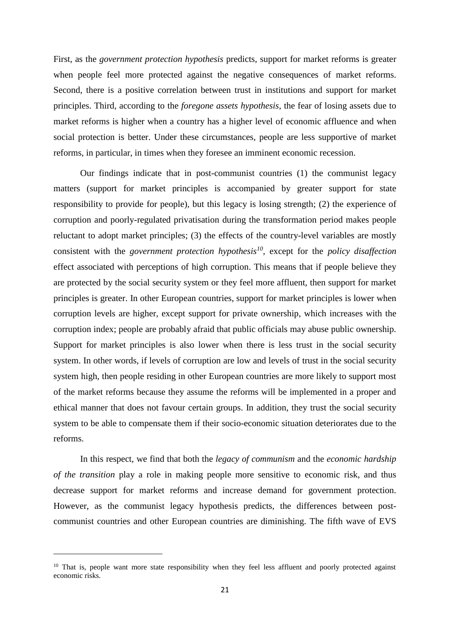First, as the *government protection hypothesis* predicts, support for market reforms is greater when people feel more protected against the negative consequences of market reforms. Second, there is a positive correlation between trust in institutions and support for market principles. Third, according to the *foregone assets hypothesis*, the fear of losing assets due to market reforms is higher when a country has a higher level of economic affluence and when social protection is better. Under these circumstances, people are less supportive of market reforms, in particular, in times when they foresee an imminent economic recession.

Our findings indicate that in post-communist countries (1) the communist legacy matters (support for market principles is accompanied by greater support for state responsibility to provide for people), but this legacy is losing strength; (2) the experience of corruption and poorly-regulated privatisation during the transformation period makes people reluctant to adopt market principles; (3) the effects of the country-level variables are mostly consistent with the *government protection hypothesis<sup>10</sup>*, except for the *policy disaffection* effect associated with perceptions of high corruption. This means that if people believe they are protected by the social security system or they feel more affluent, then support for market principles is greater. In other European countries, support for market principles is lower when corruption levels are higher, except support for private ownership, which increases with the corruption index; people are probably afraid that public officials may abuse public ownership. Support for market principles is also lower when there is less trust in the social security system. In other words, if levels of corruption are low and levels of trust in the social security system high, then people residing in other European countries are more likely to support most of the market reforms because they assume the reforms will be implemented in a proper and ethical manner that does not favour certain groups. In addition, they trust the social security system to be able to compensate them if their socio-economic situation deteriorates due to the reforms.

In this respect, we find that both the *legacy of communism* and the *economic hardship of the transition* play a role in making people more sensitive to economic risk, and thus decrease support for market reforms and increase demand for government protection. However, as the communist legacy hypothesis predicts, the differences between postcommunist countries and other European countries are diminishing. The fifth wave of EVS

1

<sup>&</sup>lt;sup>10</sup> That is, people want more state responsibility when they feel less affluent and poorly protected against economic risks.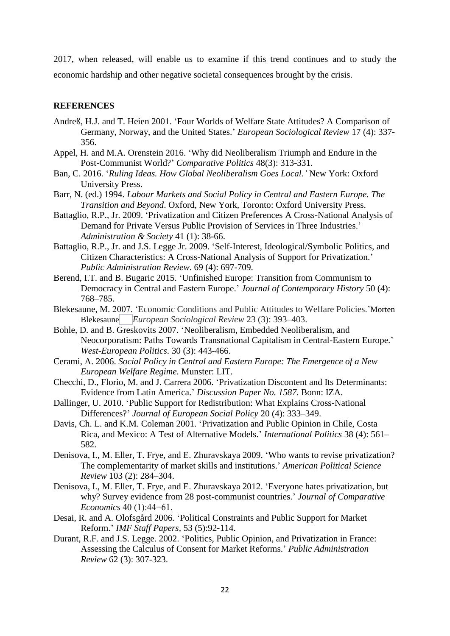2017, when released, will enable us to examine if this trend continues and to study the economic hardship and other negative societal consequences brought by the crisis.

### **REFERENCES**

- Andreß, H.J. and T. Heien 2001. 'Four Worlds of Welfare State Attitudes? A Comparison of Germany, Norway, and the United States.' *European Sociological Review* 17 (4): 337- 356.
- Appel, H. and M.A. Orenstein 2016. 'Why did Neoliberalism Triumph and Endure in the Post-Communist World?' *Comparative Politics* 48(3): 313-331.
- Ban, C. 2016. '*Ruling Ideas. How Global Neoliberalism Goes Local.'* New York: Oxford University Press.
- Barr, N. (ed.) 1994. *Labour Markets and Social Policy in Central and Eastern Europe. The Transition and Beyond*. Oxford, New York, Toronto: Oxford University Press.
- Battaglio, R.P., Jr. 2009. 'Privatization and Citizen Preferences A Cross-National Analysis of Demand for Private Versus Public Provision of Services in Three Industries.' *Administration & Society* 41 (1): 38-66.
- Battaglio, R.P., Jr. and J.S. Legge Jr. 2009. 'Self-Interest, Ideological/Symbolic Politics, and Citizen Characteristics: A Cross-National Analysis of Support for Privatization.' *Public Administration Review*. 69 (4): 697-709.
- Berend, I.T. and B. Bugaric 2015. 'Unfinished Europe: Transition from Communism to Democracy in Central and Eastern Europe.' *Journal of Contemporary History* 50 (4): 768–785.
- Blekesaune, M. 2007. 'Economic Conditions and Public Attitudes to Welfare Policies.'Morten Blekesaune *European Sociological Review* 23 (3): 393–403.
- Bohle, D. and B. Greskovits 2007. 'Neoliberalism, Embedded Neoliberalism, and Neocorporatism: Paths Towards Transnational Capitalism in Central-Eastern Europe.' *West-European Politics*. 30 (3): 443-466.
- Cerami, A. 2006. *Social Policy in Central and Eastern Europe: The Emergence of a New European Welfare Regime.* Munster: LIT.
- Checchi, D., Florio, M. and J. Carrera 2006. 'Privatization Discontent and Its Determinants: Evidence from Latin America.' *Discussion Paper No. 1587*. Bonn: IZA.
- Dallinger, U. 2010. 'Public Support for Redistribution: What Explains Cross-National Differences?' *Journal of European Social Policy* 20 (4): 333–349.
- Davis, Ch. L. and K.M. Coleman 2001. 'Privatization and Public Opinion in Chile, Costa Rica, and Mexico: A Test of Alternative Models.' *International Politics* 38 (4): 561– 582.
- Denisova, I., M. Eller, T. Frye, and E. Zhuravskaya 2009. 'Who wants to revise privatization? The complementarity of market skills and institutions.' *American Political Science Review* 103 (2): 284–304.
- Denisova, I., M. Eller, T. Frye, and E. Zhuravskaya 2012. 'Everyone hates privatization, but why? Survey evidence from 28 post-communist countries.' *Journal of Comparative Economics* 40 (1):44−61.
- [Desai,](https://econpapers.repec.org/RAS/pde219.htm) R. and [A. Olofsgård](https://econpapers.repec.org/RAS/pol143.htm) 2006*.* 'Political Constraints and Public Support for Market Reform.' *[IMF Staff Papers,](https://econpapers.repec.org/article/palimfstp/)* 53 (5):92-114.
- Durant, R.F. and J.S. Legge. 2002. 'Politics, Public Opinion, and Privatization in France: Assessing the Calculus of Consent for Market Reforms.' *Public Administration Review* 62 (3): 307-323.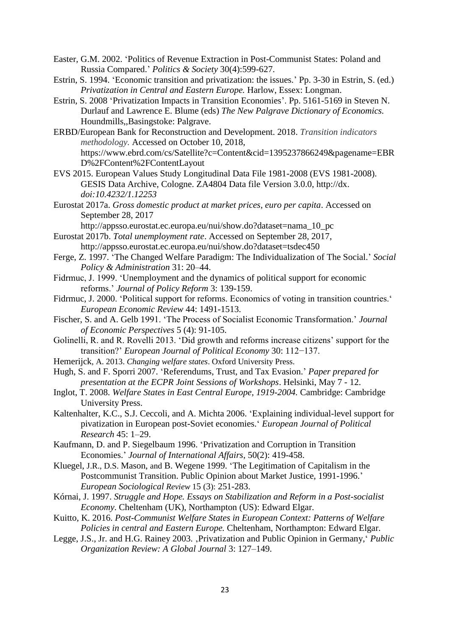- Easter, G.M. 2002. 'Politics of Revenue Extraction in Post-Communist States: Poland and Russia Compared.' *Politics & Society* 30(4):599-627.
- Estrin, S. 1994. 'Economic transition and privatization: the issues.' Pp. 3-30 in Estrin, S. (ed.) *Privatization in Central and Eastern Europe.* Harlow, Essex: Longman.
- Estrin, S. 2008 'Privatization Impacts in Transition Economies'. Pp. 5161-5169 in [Steven N.](https://en.wikipedia.org/wiki/Steven_N._Durlauf)  [Durlauf](https://en.wikipedia.org/wiki/Steven_N._Durlauf) and [Lawrence E. Blume](https://en.wikipedia.org/wiki/Lawrence_E._Blume) (eds) *[The New Palgrave Dictionary of Economics.](https://link.springer.com/referencework/10.1007/978-1-349-58802-2)* Houndmills,,Basingstoke: Palgrave.
- ERBD/European Bank for Reconstruction and Development. 2018. *Transition indicators methodology.* Accessed on October 10, 2018, https://www.ebrd.com/cs/Satellite?c=Content&cid=1395237866249&pagename=EBR D%2FContent%2FContentLayout
- EVS 2015. European Values Study Longitudinal Data File 1981-2008 (EVS 1981-2008). GESIS Data Archive, Cologne. ZA4804 Data file Version 3.0.0, http://dx. *doi:10.4232/1.12253*
- Eurostat 2017a. *Gross domestic product at market prices, euro per capita*. Accessed on September 28, 2017
	- http://appsso.eurostat.ec.europa.eu/nui/show.do?dataset=nama\_10\_pc
- Eurostat 2017b. *Total unemployment rate*. Accessed on September 28, 2017, <http://appsso.eurostat.ec.europa.eu/nui/show.do?dataset=tsdec450>
- Ferge, Z. 1997. 'The Changed Welfare Paradigm: The Individualization of The Social.' *Social Policy & Administration* 31: 20–44.
- Fidrmuc, J. 1999. 'Unemployment and the dynamics of political support for economic reforms.' *Journal of Policy Reform* 3: 139-159.
- Fidrmuc, J. 2000. 'Political support for reforms. Economics of voting in transition countries.' *European Economic Review* 44: 1491-1513.
- Fischer, S. and A. Gelb 1991. 'The Process of Socialist Economic Transformation.' *Journal of Economic Perspectives* 5 (4): 91-105.
- Golinelli, R. and R. Rovelli 2013. 'Did growth and reforms increase citizens' support for the transition?' *European Journal of Political Economy* 30: 112−137.
- Hemerijck, A. 2013. *Changing welfare states*. Oxford University Press.
- Hugh, S. and F. Sporri 2007. 'Referendums, Trust, and Tax Evasion.' *Paper prepared for presentation at the ECPR Joint Sessions of Workshops*. Helsinki, May 7 - 12.
- Inglot, T. 2008. *Welfare States in East Central Europe, 1919-2004.* Cambridge: Cambridge University Press.
- Kaltenhalter, K.C., S.J. Ceccoli, and A. Michta 2006. 'Explaining individual-level support for pivatization in European post-Soviet economies.' *European Journal of Political Research* 45: 1–29.
- Kaufmann, D. and P. Siegelbaum 1996. 'Privatization and Corruption in Transition Economies.' *Journal of International Affairs*, 50(2): 419-458.
- Kluegel, J.R., D.S. Mason, and B. Wegene 1999. 'The Legitimation of Capitalism in the Postcommunist Transition. Public Opinion about Market Justice, 1991-1996.' *European Sociological Review* 15 (3): 251-283.
- Kórnai, J. 1997. *Struggle and Hope. Essays on Stabilization and Reform in a Post-socialist Economy*. Cheltenham (UK), Northampton (US): Edward Elgar.
- Kuitto, K. 2016. *Post-Communist Welfare States in European Context: Patterns of Welfare Policies in central and Eastern Europe.* Cheltenham, Northampton: Edward Elgar.
- Legge, J.S., Jr. and H.G. Rainey 2003. , Privatization and Public Opinion in Germany, *Public Organization Review: A Global Journal* 3: 127–149.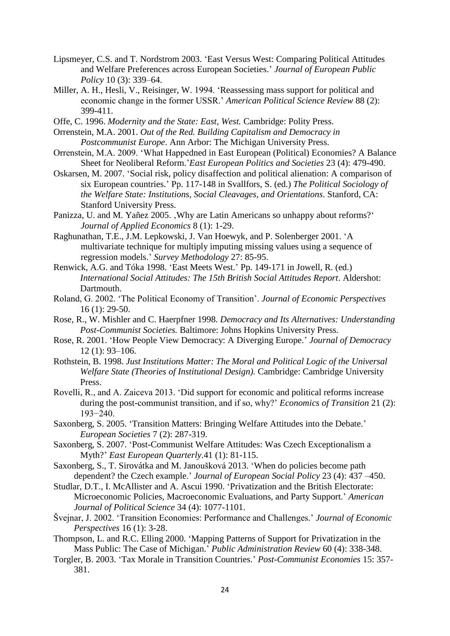- Lipsmeyer, C.S. and T. Nordstrom 2003. 'East Versus West: Comparing Political Attitudes and Welfare Preferences across European Societies.' *Journal of European Public Policy* 10 (3): 339–64.
- Miller, A. H., Hesli, V., Reisinger, W. 1994. ['Reassessing mass support for political and](https://www.highbeam.com/doc/1G1-15543379.html)  [economic change in the former USSR.'](https://www.highbeam.com/doc/1G1-15543379.html) *American Political Science Review* 88 (2): 399-411.
- Offe, C. 1996. *Modernity and the State: East, West.* Cambridge: Polity Press.
- Orrenstein, M.A. 2001. *Out of the Red. Building Capitalism and Democracy in Postcommunist Europe*. Ann Arbor: The Michigan University Press.
- Orrenstein, M.A. 2009. 'What Happedned in East European (Political) Economies? A Balance Sheet for Neoliberal Reform.'*East European Politics and Societies* 23 (4): 479-490.
- Oskarsen, M. 2007. 'Social risk, policy disaffection and political alienation: A comparison of six European countries.' Pp. 117-148 in Svallfors, S. (ed.) *The Political Sociology of the Welfare State: Institutions, Social Cleavages, and Orientations*. Stanford, CA: Stanford University Press.
- Panizza, U. and M. Yañez 2005. , Why are Latin Americans so unhappy about reforms?' *Journal of Applied Economics* 8 (1): 1-29.
- Raghunathan, T.E., J.M. Lepkowski, J. Van Hoewyk, and P. Solenberger 2001. 'A multivariate technique for multiply imputing missing values using a sequence of regression models.' *Survey Methodology* 27: 85-95.
- Renwick, A.G. and Tóka 1998. 'East Meets West.' Pp. 149-171 in Jowell, R. (ed.) *International Social Attitudes: The 15th British Social Attitudes Report*. Aldershot: Dartmouth.
- Roland, G. 2002. 'The Political Economy of Transition'. *Journal of Economic Perspectives* 16 (1): 29-50.
- Rose, R., W. Mishler and C. Haerpfner 1998. *Democracy and Its Alternatives: Understanding Post-Communist Societies.* Baltimore: Johns Hopkins University Press.
- Rose, R. 2001. 'How People View Democracy: A Diverging Europe.' *Journal of Democracy* 12 (1): 93–106.
- Rothstein, B. 1998. *Just Institutions Matter: The Moral and Political Logic of the Universal Welfare State (Theories of Institutional Design).* Cambridge: Cambridge University Press.
- Rovelli, R., and A. Zaiceva 2013. 'Did support for economic and political reforms increase during the post-communist transition, and if so, why?' *Economics of Transition* 21 (2): 193−240.
- Saxonberg, S. 2005. 'Transition Matters: Bringing Welfare Attitudes into the Debate.' *European Societies* 7 (2): 287-319.
- Saxonberg, S. 2007. 'Post-Communist Welfare Attitudes: Was Czech Exceptionalism a Myth?' *East European Quarterly*.41 (1): 81-115.
- Saxonberg, S., T. Sirovátka and M. Janoušková 2013. 'When do policies become path dependent? the Czech example.' *Journal of European Social Policy* 23 (4): 437 –450.
- Studlar, D.T., I. McAllister and A. Ascui 1990. 'Privatization and the British Electorate: Microeconomic Policies, Macroeconomic Evaluations, and Party Support.' *American Journal of Political Science* 34 (4): 1077-1101.
- Švejnar, J. 2002. 'Transition Economies: Performance and Challenges.' *Journal of Economic Perspectives* 16 (1): 3-28.
- Thompson, L. and R.C. Elling 2000. 'Mapping Patterns of Support for Privatization in the Mass Public: The Case of Michigan.' *Public Administration Review* 60 (4): 338-348.
- Torgler, B. 2003. 'Tax Morale in Transition Countries.' *Post-Communist Economies* 15: 357- 381.